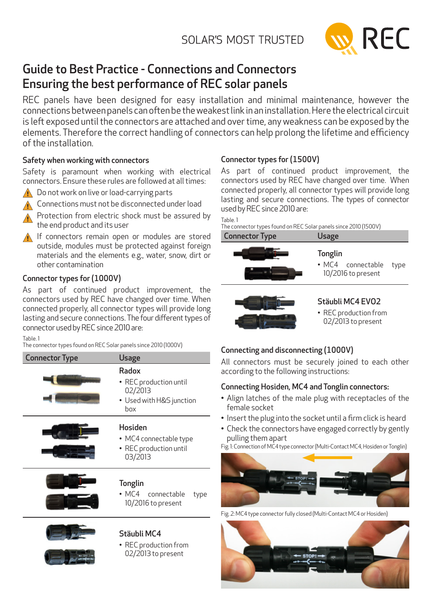

# Guide to Best Practice - Connections and Connectors Ensuring the best performance of REC solar panels

REC panels have been designed for easy installation and minimal maintenance, however the connections between panels can often be the weakest link in an installation. Here the electrical circuit is left exposed until the connectors are attached and over time, any weakness can be exposed by the elements. Therefore the correct handling of connectors can help prolong the lifetime and efficiency of the installation.

# Safety when working with connectors

Safety is paramount when working with electrical connectors. Ensure these rules are followed at all times:



 $\bigwedge$  Do not work on live or load-carrying parts

∧ Connections must not be disconnected under load

Protection from electric shock must be assured by the end product and its user

**If connectors remain open or modules are stored** outside, modules must be protected against foreign materials and the elements e.g., water, snow, dirt or other contamination

# Connector types for (1000V)

As part of continued product improvement, the connectors used by REC have changed over time. When connected properly, all connector types will provide long lasting and secure connections. The four different types of connector used by REC since 2010 are:

Table. 1

The connector types found on REC Solar panels since 2010 (1000V)

| <b>Connector Type</b> | <b>Usage</b>                                                                  |  |
|-----------------------|-------------------------------------------------------------------------------|--|
|                       | Radox<br>• REC production until<br>02/2013<br>• Used with H&S junction<br>box |  |
|                       | <b>Hosiden</b><br>• MC4 connectable type<br>• REC production until<br>03/2013 |  |
|                       | <b>Tonglin</b><br>• MC4 connectable<br>type<br>10/2016 to present             |  |
|                       | Stäubli MC4<br>$\bullet$ RFC production from                                  |  |

• REC production from 02/2013 to present

# Connector types for (1500V)

As part of continued product improvement, the connectors used by REC have changed over time. When connected properly, all connector types will provide long lasting and secure connections. The types of connector used by REC since 2010 are:

Table. 1

The connector types found on REC Solar panels since 2010 (1500V)

| <b>Connector Type</b> | Usage                                                     |      |
|-----------------------|-----------------------------------------------------------|------|
|                       | <b>Tonglin</b><br>• MC4 connectable<br>10/2016 to present | type |



# Stäubli MC4 EVO2

• REC production from 02/2013 to present

# Connecting and disconnecting (1000V)

All connectors must be securely joined to each other according to the following instructions:

# Connecting Hosiden, MC4 and Tonglin connectors:

- Align latches of the male plug with receptacles of the female socket
- Insert the plug into the socket until a firm click is heard
- Check the connectors have engaged correctly by gently pulling them apart

Fig. 1: Connection of MC4 type connector (Multi-Contact MC4, Hosiden or Tonglin)



Fig. 2: MC4 type connector fully closed (Multi-Contact MC4 or Hosiden)

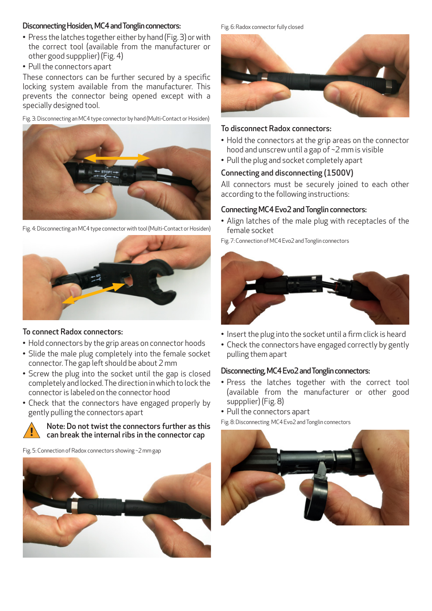### Disconnecting Hosiden, MC4 and Tonglin connectors:

- Press the latches together either by hand (Fig. 3) or with the correct tool (available from the manufacturer or other good suppplier) (Fig. 4)
- Pull the connectors apart

These connectors can be further secured by a specific locking system available from the manufacturer. This prevents the connector being opened except with a specially designed tool.

Fig. 3: Disconnecting an MC4 type connector by hand (Multi-Contact or Hosiden)



Fig. 4: Disconnecting an MC4 type connector with tool (Multi-Contact or Hosiden)



### To connect Radox connectors:

- Hold connectors by the grip areas on connector hoods
- Slide the male plug completely into the female socket connector. The gap left should be about 2 mm
- Screw the plug into the socket until the gap is closed completely and locked. The direction in which to lock the connector is labeled on the connector hood
- Check that the connectors have engaged properly by gently pulling the connectors apart



#### Note: Do not twist the connectors further as this can break the internal ribs in the connector cap

Fig. 5: Connection of Radox connectors showing ~2 mm gap



Fig. 6: Radox connector fully closed



# To disconnect Radox connectors:

- Hold the connectors at the grip areas on the connector hood and unscrew until a gap of ~2 mm is visible
- Pull the plug and socket completely apart

# Connecting and disconnecting (1500V)

All connectors must be securely joined to each other according to the following instructions:

# Connecting MC4 Evo2 and Tonglin connectors:

• Align latches of the male plug with receptacles of the female socket

Fig. 7: Connection of MC4 Evo2 and Tonglin connectors



- Insert the plug into the socket until a firm click is heard
- Check the connectors have engaged correctly by gently pulling them apart

### Disconnecting, MC4 Evo2 and Tonglin connectors:

- Press the latches together with the correct tool (available from the manufacturer or other good suppplier) (Fig. 8)
- Pull the connectors apart

Fig. 8: Disconnecting MC4 Evo2 and Tonglin connectors

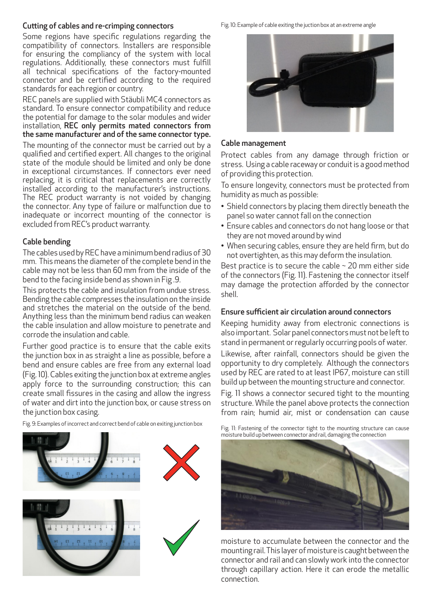### Cutting of cables and re-crimping connectors

Some regions have specific regulations regarding the compatibility of connectors. Installers are responsible for ensuring the compliancy of the system with local regulations. Additionally, these connectors must fulfill all technical specifications of the factory-mounted connector and be certified according to the required standards for each region or country.

REC panels are supplied with Stäubli MC4 connectors as standard. To ensure connector compatibility and reduce the potential for damage to the solar modules and wider installation, REC only permits mated connectors from the same manufacturer and of the same connector type.

The mounting of the connector must be carried out by a qualified and certified expert. All changes to the original state of the module should be limited and only be done in exceptional circumstances. If connectors ever need replacing, it is critical that replacements are correctly installed according to the manufacturer's instructions. The REC product warranty is not voided by changing the connector. Any type of failure or malfunction due to inadequate or incorrect mounting of the connector is excluded from REC's product warranty.

# Cable bending

The cables used by REC have a minimum bend radius of 30 mm. This means the diameter of the complete bend in the cable may not be less than 60 mm from the inside of the bend to the facing inside bend as shown in Fig .9.

This protects the cable and insulation from undue stress. Bending the cable compresses the insulation on the inside and stretches the material on the outside of the bend. Anything less than the minimum bend radius can weaken the cable insulation and allow moisture to penetrate and corrode the insulation and cable.

Further good practice is to ensure that the cable exits the junction box in as straight a line as possible, before a bend and ensure cables are free from any external load (Fig. 10). Cables exiting the junction box at extreme angles apply force to the surrounding construction; this can create small fissures in the casing and allow the ingress of water and dirt into the junction box, or cause stress on the junction box casing.

Fig. 9: Examples of incorrect and correct bend of cable on exiting junction box



Fig. 10: Example of cable exiting the juction box at an extreme angle



# Cable management

Protect cables from any damage through friction or stress. Using a cable raceway or conduit is a good method of providing this protection.

To ensure longevity, connectors must be protected from humidity as much as possible:

- Shield connectors by placing them directly beneath the panel so water cannot fall on the connection
- Ensure cables and connectors do not hang loose or that they are not moved around by wind
- When securing cables, ensure they are held firm, but do not overtighten, as this may deform the insulation.

Best practice is to secure the cable  $\sim$  20 mm either side of the connectors (Fig. 11). Fastening the connector itself may damage the protection afforded by the connector shell.

### Ensure sufficient air circulation around connectors

Keeping humidity away from electronic connections is also important. Solar panel connectors must not be left to stand in permanent or regularly occurring pools of water.

Likewise, after rainfall, connectors should be given the opportunity to dry completely. Although the connectors used by REC are rated to at least IP67, moisture can still build up between the mounting structure and connector.

Fig. 11 shows a connector secured tight to the mounting structure. While the panel above protects the connection from rain; humid air, mist or condensation can cause

Fig. 11: Fastening of the connector tight to the mounting structure can cause moisture build up between connector and rail, damaging the connection



moisture to accumulate between the connector and the mounting rail. This layer of moisture is caught between the connector and rail and can slowly work into the connector through capillary action. Here it can erode the metallic connection.